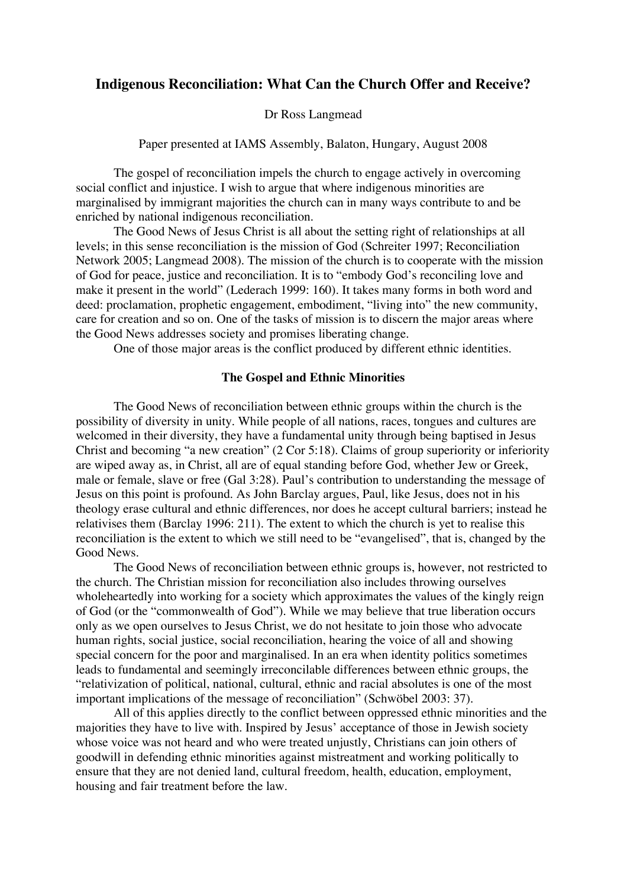# **Indigenous Reconciliation: What Can the Church Offer and Receive?**

## Dr Ross Langmead

Paper presented at IAMS Assembly, Balaton, Hungary, August 2008

The gospel of reconciliation impels the church to engage actively in overcoming social conflict and injustice. I wish to argue that where indigenous minorities are marginalised by immigrant majorities the church can in many ways contribute to and be enriched by national indigenous reconciliation.

The Good News of Jesus Christ is all about the setting right of relationships at all levels; in this sense reconciliation is the mission of God (Schreiter 1997; Reconciliation Network 2005; Langmead 2008). The mission of the church is to cooperate with the mission of God for peace, justice and reconciliation. It is to "embody God's reconciling love and make it present in the world" (Lederach 1999: 160). It takes many forms in both word and deed: proclamation, prophetic engagement, embodiment, "living into" the new community, care for creation and so on. One of the tasks of mission is to discern the major areas where the Good News addresses society and promises liberating change.

One of those major areas is the conflict produced by different ethnic identities.

#### **The Gospel and Ethnic Minorities**

The Good News of reconciliation between ethnic groups within the church is the possibility of diversity in unity. While people of all nations, races, tongues and cultures are welcomed in their diversity, they have a fundamental unity through being baptised in Jesus Christ and becoming "a new creation" (2 Cor 5:18). Claims of group superiority or inferiority are wiped away as, in Christ, all are of equal standing before God, whether Jew or Greek, male or female, slave or free (Gal 3:28). Paul's contribution to understanding the message of Jesus on this point is profound. As John Barclay argues, Paul, like Jesus, does not in his theology erase cultural and ethnic differences, nor does he accept cultural barriers; instead he relativises them (Barclay 1996: 211). The extent to which the church is yet to realise this reconciliation is the extent to which we still need to be "evangelised", that is, changed by the Good News.

The Good News of reconciliation between ethnic groups is, however, not restricted to the church. The Christian mission for reconciliation also includes throwing ourselves wholeheartedly into working for a society which approximates the values of the kingly reign of God (or the "commonwealth of God"). While we may believe that true liberation occurs only as we open ourselves to Jesus Christ, we do not hesitate to join those who advocate human rights, social justice, social reconciliation, hearing the voice of all and showing special concern for the poor and marginalised. In an era when identity politics sometimes leads to fundamental and seemingly irreconcilable differences between ethnic groups, the "relativization of political, national, cultural, ethnic and racial absolutes is one of the most important implications of the message of reconciliation" (Schwöbel 2003: 37).

All of this applies directly to the conflict between oppressed ethnic minorities and the majorities they have to live with. Inspired by Jesus' acceptance of those in Jewish society whose voice was not heard and who were treated unjustly, Christians can join others of goodwill in defending ethnic minorities against mistreatment and working politically to ensure that they are not denied land, cultural freedom, health, education, employment, housing and fair treatment before the law.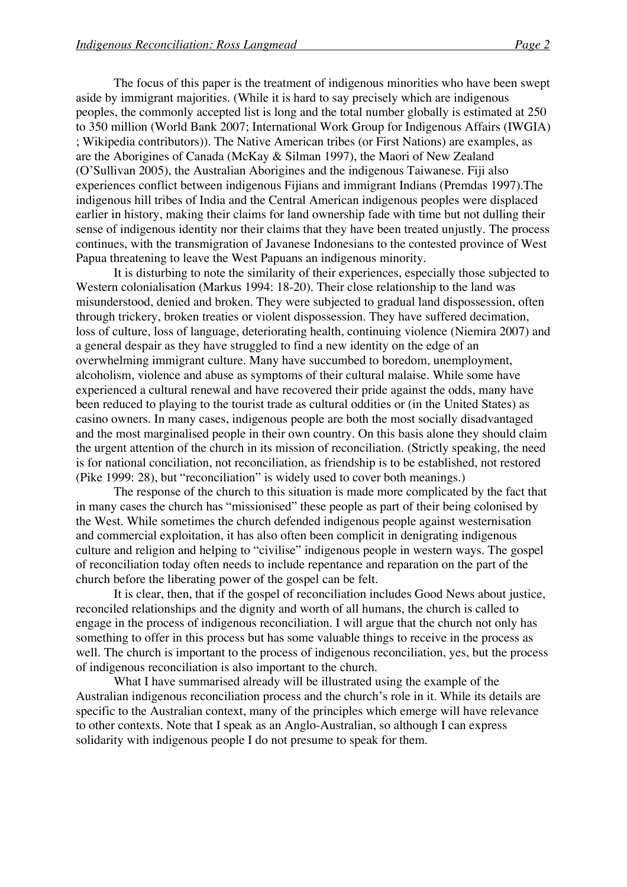The focus of this paper is the treatment of indigenous minorities who have been swept aside by immigrant majorities. (While it is hard to say precisely which are indigenous peoples, the commonly accepted list is long and the total number globally is estimated at 250 to 350 million (World Bank 2007; International Work Group for Indigenous Affairs (IWGIA) ; Wikipedia contributors)). The Native American tribes (or First Nations) are examples, as are the Aborigines of Canada (McKay & Silman 1997), the Maori of New Zealand (O'Sullivan 2005), the Australian Aborigines and the indigenous Taiwanese. Fiji also experiences conflict between indigenous Fijians and immigrant Indians (Premdas 1997).The indigenous hill tribes of India and the Central American indigenous peoples were displaced earlier in history, making their claims for land ownership fade with time but not dulling their sense of indigenous identity nor their claims that they have been treated unjustly. The process continues, with the transmigration of Javanese Indonesians to the contested province of West Papua threatening to leave the West Papuans an indigenous minority.

It is disturbing to note the similarity of their experiences, especially those subjected to Western colonialisation (Markus 1994: 18-20). Their close relationship to the land was misunderstood, denied and broken. They were subjected to gradual land dispossession, often through trickery, broken treaties or violent dispossession. They have suffered decimation, loss of culture, loss of language, deteriorating health, continuing violence (Niemira 2007) and a general despair as they have struggled to find a new identity on the edge of an overwhelming immigrant culture. Many have succumbed to boredom, unemployment, alcoholism, violence and abuse as symptoms of their cultural malaise. While some have experienced a cultural renewal and have recovered their pride against the odds, many have been reduced to playing to the tourist trade as cultural oddities or (in the United States) as casino owners. In many cases, indigenous people are both the most socially disadvantaged and the most marginalised people in their own country. On this basis alone they should claim the urgent attention of the church in its mission of reconciliation. (Strictly speaking, the need is for national conciliation, not reconciliation, as friendship is to be established, not restored (Pike 1999: 28), but "reconciliation" is widely used to cover both meanings.)

The response of the church to this situation is made more complicated by the fact that in many cases the church has "missionised" these people as part of their being colonised by the West. While sometimes the church defended indigenous people against westernisation and commercial exploitation, it has also often been complicit in denigrating indigenous culture and religion and helping to "civilise" indigenous people in western ways. The gospel of reconciliation today often needs to include repentance and reparation on the part of the church before the liberating power of the gospel can be felt.

It is clear, then, that if the gospel of reconciliation includes Good News about justice, reconciled relationships and the dignity and worth of all humans, the church is called to engage in the process of indigenous reconciliation. I will argue that the church not only has something to offer in this process but has some valuable things to receive in the process as well. The church is important to the process of indigenous reconciliation, yes, but the process of indigenous reconciliation is also important to the church.

What I have summarised already will be illustrated using the example of the Australian indigenous reconciliation process and the church's role in it. While its details are specific to the Australian context, many of the principles which emerge will have relevance to other contexts. Note that I speak as an Anglo-Australian, so although I can express solidarity with indigenous people I do not presume to speak for them.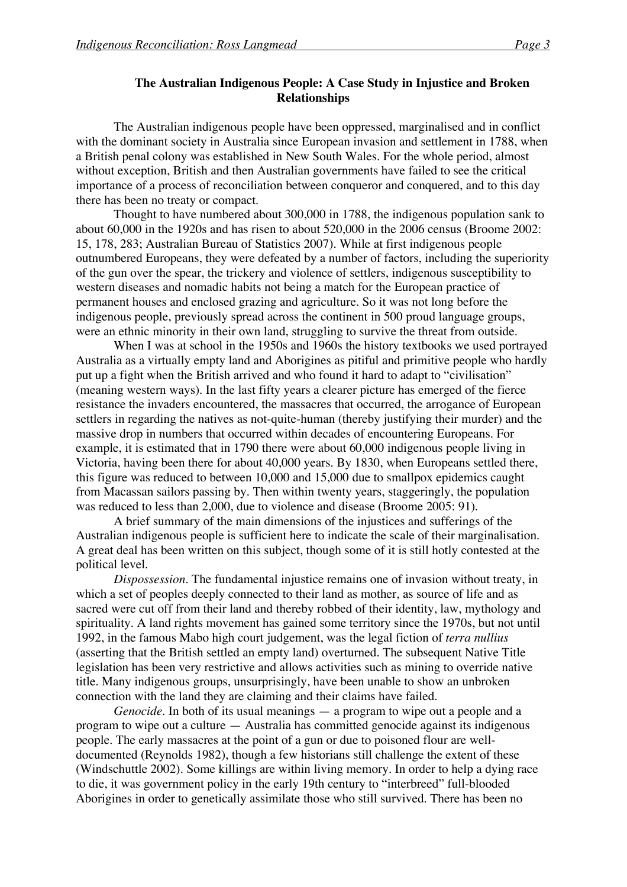# **The Australian Indigenous People: A Case Study in Injustice and Broken Relationships**

The Australian indigenous people have been oppressed, marginalised and in conflict with the dominant society in Australia since European invasion and settlement in 1788, when a British penal colony was established in New South Wales. For the whole period, almost without exception, British and then Australian governments have failed to see the critical importance of a process of reconciliation between conqueror and conquered, and to this day there has been no treaty or compact.

Thought to have numbered about 300,000 in 1788, the indigenous population sank to about 60,000 in the 1920s and has risen to about 520,000 in the 2006 census (Broome 2002: 15, 178, 283; Australian Bureau of Statistics 2007). While at first indigenous people outnumbered Europeans, they were defeated by a number of factors, including the superiority of the gun over the spear, the trickery and violence of settlers, indigenous susceptibility to western diseases and nomadic habits not being a match for the European practice of permanent houses and enclosed grazing and agriculture. So it was not long before the indigenous people, previously spread across the continent in 500 proud language groups, were an ethnic minority in their own land, struggling to survive the threat from outside.

When I was at school in the 1950s and 1960s the history textbooks we used portrayed Australia as a virtually empty land and Aborigines as pitiful and primitive people who hardly put up a fight when the British arrived and who found it hard to adapt to "civilisation" (meaning western ways). In the last fifty years a clearer picture has emerged of the fierce resistance the invaders encountered, the massacres that occurred, the arrogance of European settlers in regarding the natives as not-quite-human (thereby justifying their murder) and the massive drop in numbers that occurred within decades of encountering Europeans. For example, it is estimated that in 1790 there were about 60,000 indigenous people living in Victoria, having been there for about 40,000 years. By 1830, when Europeans settled there, this figure was reduced to between 10,000 and 15,000 due to smallpox epidemics caught from Macassan sailors passing by. Then within twenty years, staggeringly, the population was reduced to less than 2,000, due to violence and disease (Broome 2005: 91).

A brief summary of the main dimensions of the injustices and sufferings of the Australian indigenous people is sufficient here to indicate the scale of their marginalisation. A great deal has been written on this subject, though some of it is still hotly contested at the political level.

*Dispossession*. The fundamental injustice remains one of invasion without treaty, in which a set of peoples deeply connected to their land as mother, as source of life and as sacred were cut off from their land and thereby robbed of their identity, law, mythology and spirituality. A land rights movement has gained some territory since the 1970s, but not until 1992, in the famous Mabo high court judgement, was the legal fiction of *terra nullius* (asserting that the British settled an empty land) overturned. The subsequent Native Title legislation has been very restrictive and allows activities such as mining to override native title. Many indigenous groups, unsurprisingly, have been unable to show an unbroken connection with the land they are claiming and their claims have failed.

*Genocide*. In both of its usual meanings — a program to wipe out a people and a program to wipe out a culture — Australia has committed genocide against its indigenous people. The early massacres at the point of a gun or due to poisoned flour are welldocumented (Reynolds 1982), though a few historians still challenge the extent of these (Windschuttle 2002). Some killings are within living memory. In order to help a dying race to die, it was government policy in the early 19th century to "interbreed" full-blooded Aborigines in order to genetically assimilate those who still survived. There has been no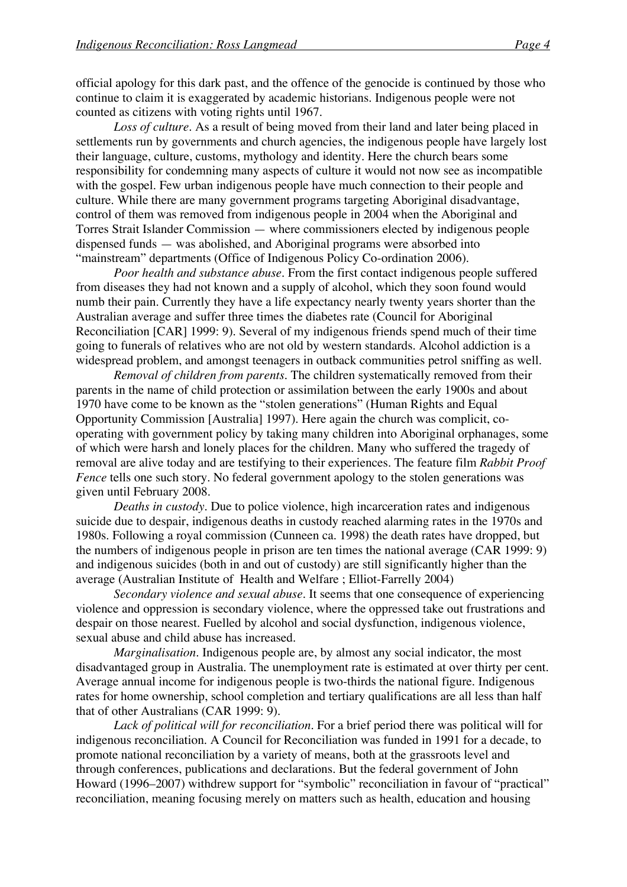official apology for this dark past, and the offence of the genocide is continued by those who continue to claim it is exaggerated by academic historians. Indigenous people were not counted as citizens with voting rights until 1967.

*Loss of culture*. As a result of being moved from their land and later being placed in settlements run by governments and church agencies, the indigenous people have largely lost their language, culture, customs, mythology and identity. Here the church bears some responsibility for condemning many aspects of culture it would not now see as incompatible with the gospel. Few urban indigenous people have much connection to their people and culture. While there are many government programs targeting Aboriginal disadvantage, control of them was removed from indigenous people in 2004 when the Aboriginal and Torres Strait Islander Commission — where commissioners elected by indigenous people dispensed funds — was abolished, and Aboriginal programs were absorbed into "mainstream" departments (Office of Indigenous Policy Co-ordination 2006).

*Poor health and substance abuse*. From the first contact indigenous people suffered from diseases they had not known and a supply of alcohol, which they soon found would numb their pain. Currently they have a life expectancy nearly twenty years shorter than the Australian average and suffer three times the diabetes rate (Council for Aboriginal Reconciliation [CAR] 1999: 9). Several of my indigenous friends spend much of their time going to funerals of relatives who are not old by western standards. Alcohol addiction is a widespread problem, and amongst teenagers in outback communities petrol sniffing as well.

*Removal of children from parents*. The children systematically removed from their parents in the name of child protection or assimilation between the early 1900s and about 1970 have come to be known as the "stolen generations" (Human Rights and Equal Opportunity Commission [Australia] 1997). Here again the church was complicit, cooperating with government policy by taking many children into Aboriginal orphanages, some of which were harsh and lonely places for the children. Many who suffered the tragedy of removal are alive today and are testifying to their experiences. The feature film *Rabbit Proof Fence* tells one such story. No federal government apology to the stolen generations was given until February 2008.

*Deaths in custody*. Due to police violence, high incarceration rates and indigenous suicide due to despair, indigenous deaths in custody reached alarming rates in the 1970s and 1980s. Following a royal commission (Cunneen ca. 1998) the death rates have dropped, but the numbers of indigenous people in prison are ten times the national average (CAR 1999: 9) and indigenous suicides (both in and out of custody) are still significantly higher than the average (Australian Institute of Health and Welfare ; Elliot-Farrelly 2004)

*Secondary violence and sexual abuse*. It seems that one consequence of experiencing violence and oppression is secondary violence, where the oppressed take out frustrations and despair on those nearest. Fuelled by alcohol and social dysfunction, indigenous violence, sexual abuse and child abuse has increased.

*Marginalisation*. Indigenous people are, by almost any social indicator, the most disadvantaged group in Australia. The unemployment rate is estimated at over thirty per cent. Average annual income for indigenous people is two-thirds the national figure. Indigenous rates for home ownership, school completion and tertiary qualifications are all less than half that of other Australians (CAR 1999: 9).

*Lack of political will for reconciliation*. For a brief period there was political will for indigenous reconciliation. A Council for Reconciliation was funded in 1991 for a decade, to promote national reconciliation by a variety of means, both at the grassroots level and through conferences, publications and declarations. But the federal government of John Howard (1996–2007) withdrew support for "symbolic" reconciliation in favour of "practical" reconciliation, meaning focusing merely on matters such as health, education and housing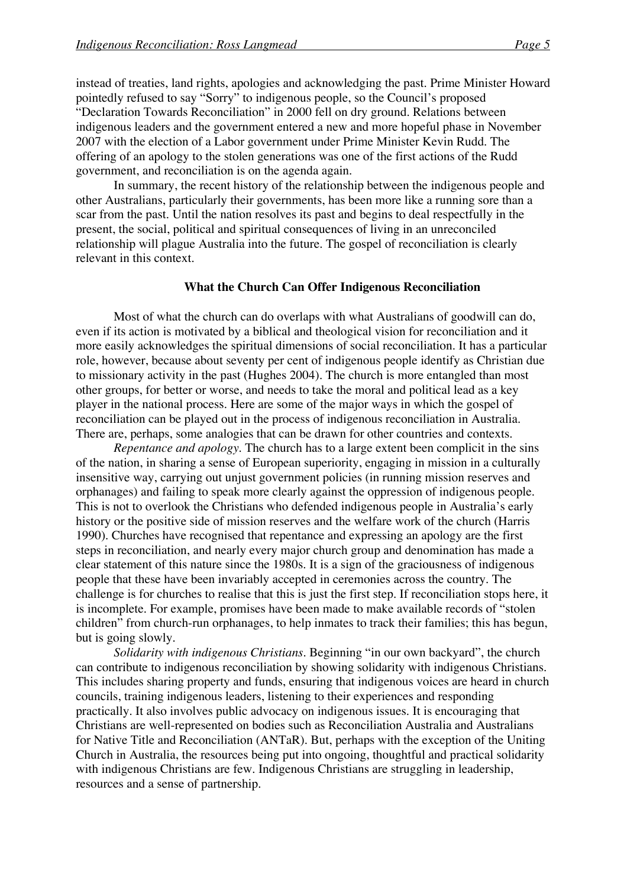instead of treaties, land rights, apologies and acknowledging the past. Prime Minister Howard pointedly refused to say "Sorry" to indigenous people, so the Council's proposed "Declaration Towards Reconciliation" in 2000 fell on dry ground. Relations between indigenous leaders and the government entered a new and more hopeful phase in November 2007 with the election of a Labor government under Prime Minister Kevin Rudd. The offering of an apology to the stolen generations was one of the first actions of the Rudd government, and reconciliation is on the agenda again.

In summary, the recent history of the relationship between the indigenous people and other Australians, particularly their governments, has been more like a running sore than a scar from the past. Until the nation resolves its past and begins to deal respectfully in the present, the social, political and spiritual consequences of living in an unreconciled relationship will plague Australia into the future. The gospel of reconciliation is clearly relevant in this context.

#### **What the Church Can Offer Indigenous Reconciliation**

Most of what the church can do overlaps with what Australians of goodwill can do, even if its action is motivated by a biblical and theological vision for reconciliation and it more easily acknowledges the spiritual dimensions of social reconciliation. It has a particular role, however, because about seventy per cent of indigenous people identify as Christian due to missionary activity in the past (Hughes 2004). The church is more entangled than most other groups, for better or worse, and needs to take the moral and political lead as a key player in the national process. Here are some of the major ways in which the gospel of reconciliation can be played out in the process of indigenous reconciliation in Australia. There are, perhaps, some analogies that can be drawn for other countries and contexts.

*Repentance and apology*. The church has to a large extent been complicit in the sins of the nation, in sharing a sense of European superiority, engaging in mission in a culturally insensitive way, carrying out unjust government policies (in running mission reserves and orphanages) and failing to speak more clearly against the oppression of indigenous people. This is not to overlook the Christians who defended indigenous people in Australia's early history or the positive side of mission reserves and the welfare work of the church (Harris 1990). Churches have recognised that repentance and expressing an apology are the first steps in reconciliation, and nearly every major church group and denomination has made a clear statement of this nature since the 1980s. It is a sign of the graciousness of indigenous people that these have been invariably accepted in ceremonies across the country. The challenge is for churches to realise that this is just the first step. If reconciliation stops here, it is incomplete. For example, promises have been made to make available records of "stolen children" from church-run orphanages, to help inmates to track their families; this has begun, but is going slowly.

*Solidarity with indigenous Christians*. Beginning "in our own backyard", the church can contribute to indigenous reconciliation by showing solidarity with indigenous Christians. This includes sharing property and funds, ensuring that indigenous voices are heard in church councils, training indigenous leaders, listening to their experiences and responding practically. It also involves public advocacy on indigenous issues. It is encouraging that Christians are well-represented on bodies such as Reconciliation Australia and Australians for Native Title and Reconciliation (ANTaR). But, perhaps with the exception of the Uniting Church in Australia, the resources being put into ongoing, thoughtful and practical solidarity with indigenous Christians are few. Indigenous Christians are struggling in leadership, resources and a sense of partnership.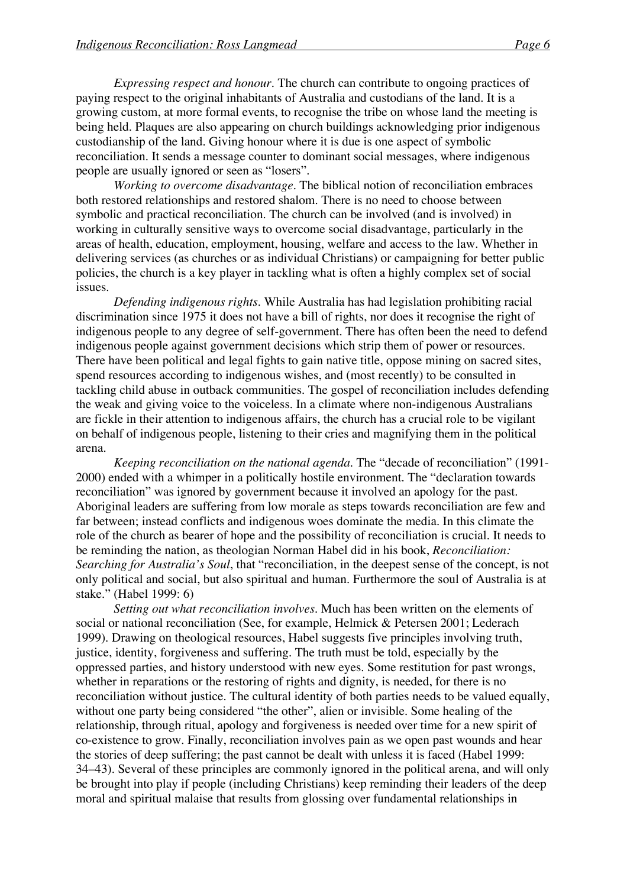*Expressing respect and honour*. The church can contribute to ongoing practices of paying respect to the original inhabitants of Australia and custodians of the land. It is a growing custom, at more formal events, to recognise the tribe on whose land the meeting is being held. Plaques are also appearing on church buildings acknowledging prior indigenous custodianship of the land. Giving honour where it is due is one aspect of symbolic reconciliation. It sends a message counter to dominant social messages, where indigenous people are usually ignored or seen as "losers".

*Working to overcome disadvantage*. The biblical notion of reconciliation embraces both restored relationships and restored shalom. There is no need to choose between symbolic and practical reconciliation. The church can be involved (and is involved) in working in culturally sensitive ways to overcome social disadvantage, particularly in the areas of health, education, employment, housing, welfare and access to the law. Whether in delivering services (as churches or as individual Christians) or campaigning for better public policies, the church is a key player in tackling what is often a highly complex set of social issues.

*Defending indigenous rights*. While Australia has had legislation prohibiting racial discrimination since 1975 it does not have a bill of rights, nor does it recognise the right of indigenous people to any degree of self-government. There has often been the need to defend indigenous people against government decisions which strip them of power or resources. There have been political and legal fights to gain native title, oppose mining on sacred sites, spend resources according to indigenous wishes, and (most recently) to be consulted in tackling child abuse in outback communities. The gospel of reconciliation includes defending the weak and giving voice to the voiceless. In a climate where non-indigenous Australians are fickle in their attention to indigenous affairs, the church has a crucial role to be vigilant on behalf of indigenous people, listening to their cries and magnifying them in the political arena.

*Keeping reconciliation on the national agenda*. The "decade of reconciliation" (1991- 2000) ended with a whimper in a politically hostile environment. The "declaration towards reconciliation" was ignored by government because it involved an apology for the past. Aboriginal leaders are suffering from low morale as steps towards reconciliation are few and far between; instead conflicts and indigenous woes dominate the media. In this climate the role of the church as bearer of hope and the possibility of reconciliation is crucial. It needs to be reminding the nation, as theologian Norman Habel did in his book, *Reconciliation: Searching for Australia's Soul*, that "reconciliation, in the deepest sense of the concept, is not only political and social, but also spiritual and human. Furthermore the soul of Australia is at stake." (Habel 1999: 6)

*Setting out what reconciliation involves*. Much has been written on the elements of social or national reconciliation (See, for example, Helmick & Petersen 2001; Lederach 1999). Drawing on theological resources, Habel suggests five principles involving truth, justice, identity, forgiveness and suffering. The truth must be told, especially by the oppressed parties, and history understood with new eyes. Some restitution for past wrongs, whether in reparations or the restoring of rights and dignity, is needed, for there is no reconciliation without justice. The cultural identity of both parties needs to be valued equally, without one party being considered "the other", alien or invisible. Some healing of the relationship, through ritual, apology and forgiveness is needed over time for a new spirit of co-existence to grow. Finally, reconciliation involves pain as we open past wounds and hear the stories of deep suffering; the past cannot be dealt with unless it is faced (Habel 1999: 34–43). Several of these principles are commonly ignored in the political arena, and will only be brought into play if people (including Christians) keep reminding their leaders of the deep moral and spiritual malaise that results from glossing over fundamental relationships in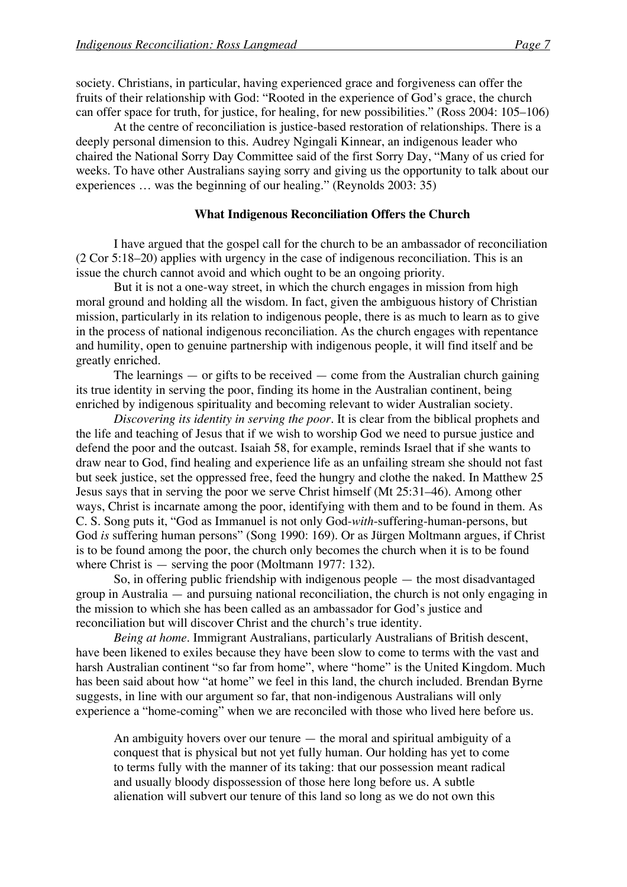society. Christians, in particular, having experienced grace and forgiveness can offer the fruits of their relationship with God: "Rooted in the experience of God's grace, the church can offer space for truth, for justice, for healing, for new possibilities." (Ross 2004: 105–106)

At the centre of reconciliation is justice-based restoration of relationships. There is a deeply personal dimension to this. Audrey Ngingali Kinnear, an indigenous leader who chaired the National Sorry Day Committee said of the first Sorry Day, "Many of us cried for weeks. To have other Australians saying sorry and giving us the opportunity to talk about our experiences … was the beginning of our healing." (Reynolds 2003: 35)

## **What Indigenous Reconciliation Offers the Church**

I have argued that the gospel call for the church to be an ambassador of reconciliation (2 Cor 5:18–20) applies with urgency in the case of indigenous reconciliation. This is an issue the church cannot avoid and which ought to be an ongoing priority.

But it is not a one-way street, in which the church engages in mission from high moral ground and holding all the wisdom. In fact, given the ambiguous history of Christian mission, particularly in its relation to indigenous people, there is as much to learn as to give in the process of national indigenous reconciliation. As the church engages with repentance and humility, open to genuine partnership with indigenous people, it will find itself and be greatly enriched.

The learnings  $-$  or gifts to be received  $-$  come from the Australian church gaining its true identity in serving the poor, finding its home in the Australian continent, being enriched by indigenous spirituality and becoming relevant to wider Australian society.

*Discovering its identity in serving the poor*. It is clear from the biblical prophets and the life and teaching of Jesus that if we wish to worship God we need to pursue justice and defend the poor and the outcast. Isaiah 58, for example, reminds Israel that if she wants to draw near to God, find healing and experience life as an unfailing stream she should not fast but seek justice, set the oppressed free, feed the hungry and clothe the naked. In Matthew 25 Jesus says that in serving the poor we serve Christ himself (Mt 25:31–46). Among other ways, Christ is incarnate among the poor, identifying with them and to be found in them. As C. S. Song puts it, "God as Immanuel is not only God-*with*-suffering-human-persons, but God *is* suffering human persons" (Song 1990: 169). Or as Jürgen Moltmann argues, if Christ is to be found among the poor, the church only becomes the church when it is to be found where Christ is — serving the poor (Moltmann 1977: 132).

So, in offering public friendship with indigenous people — the most disadvantaged group in Australia — and pursuing national reconciliation, the church is not only engaging in the mission to which she has been called as an ambassador for God's justice and reconciliation but will discover Christ and the church's true identity.

*Being at home*. Immigrant Australians, particularly Australians of British descent, have been likened to exiles because they have been slow to come to terms with the vast and harsh Australian continent "so far from home", where "home" is the United Kingdom. Much has been said about how "at home" we feel in this land, the church included. Brendan Byrne suggests, in line with our argument so far, that non-indigenous Australians will only experience a "home-coming" when we are reconciled with those who lived here before us.

An ambiguity hovers over our tenure — the moral and spiritual ambiguity of a conquest that is physical but not yet fully human. Our holding has yet to come to terms fully with the manner of its taking: that our possession meant radical and usually bloody dispossession of those here long before us. A subtle alienation will subvert our tenure of this land so long as we do not own this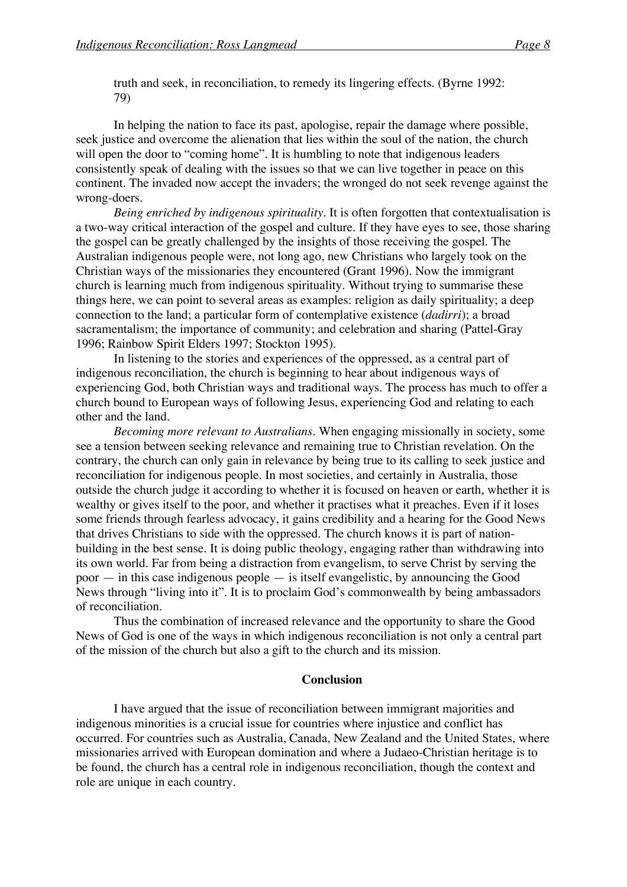truth and seek, in reconciliation, to remedy its lingering effects. (Byrne 1992: 79)

In helping the nation to face its past, apologise, repair the damage where possible, seek justice and overcome the alienation that lies within the soul of the nation, the church will open the door to "coming home". It is humbling to note that indigenous leaders consistently speak of dealing with the issues so that we can live together in peace on this continent. The invaded now accept the invaders; the wronged do not seek revenge against the wrong-doers.

*Being enriched by indigenous spirituality*. It is often forgotten that contextualisation is a two-way critical interaction of the gospel and culture. If they have eyes to see, those sharing the gospel can be greatly challenged by the insights of those receiving the gospel. The Australian indigenous people were, not long ago, new Christians who largely took on the Christian ways of the missionaries they encountered (Grant 1996). Now the immigrant church is learning much from indigenous spirituality. Without trying to summarise these things here, we can point to several areas as examples: religion as daily spirituality; a deep connection to the land; a particular form of contemplative existence (*dadirri*); a broad sacramentalism; the importance of community; and celebration and sharing (Pattel-Gray 1996; Rainbow Spirit Elders 1997; Stockton 1995).

In listening to the stories and experiences of the oppressed, as a central part of indigenous reconciliation, the church is beginning to hear about indigenous ways of experiencing God, both Christian ways and traditional ways. The process has much to offer a church bound to European ways of following Jesus, experiencing God and relating to each other and the land.

*Becoming more relevant to Australians*. When engaging missionally in society, some see a tension between seeking relevance and remaining true to Christian revelation. On the contrary, the church can only gain in relevance by being true to its calling to seek justice and reconciliation for indigenous people. In most societies, and certainly in Australia, those outside the church judge it according to whether it is focused on heaven or earth, whether it is wealthy or gives itself to the poor, and whether it practises what it preaches. Even if it loses some friends through fearless advocacy, it gains credibility and a hearing for the Good News that drives Christians to side with the oppressed. The church knows it is part of nationbuilding in the best sense. It is doing public theology, engaging rather than withdrawing into its own world. Far from being a distraction from evangelism, to serve Christ by serving the poor — in this case indigenous people — is itself evangelistic, by announcing the Good News through "living into it". It is to proclaim God's commonwealth by being ambassadors of reconciliation.

Thus the combination of increased relevance and the opportunity to share the Good News of God is one of the ways in which indigenous reconciliation is not only a central part of the mission of the church but also a gift to the church and its mission.

## **Conclusion**

I have argued that the issue of reconciliation between immigrant majorities and indigenous minorities is a crucial issue for countries where injustice and conflict has occurred. For countries such as Australia, Canada, New Zealand and the United States, where missionaries arrived with European domination and where a Judaeo-Christian heritage is to be found, the church has a central role in indigenous reconciliation, though the context and role are unique in each country.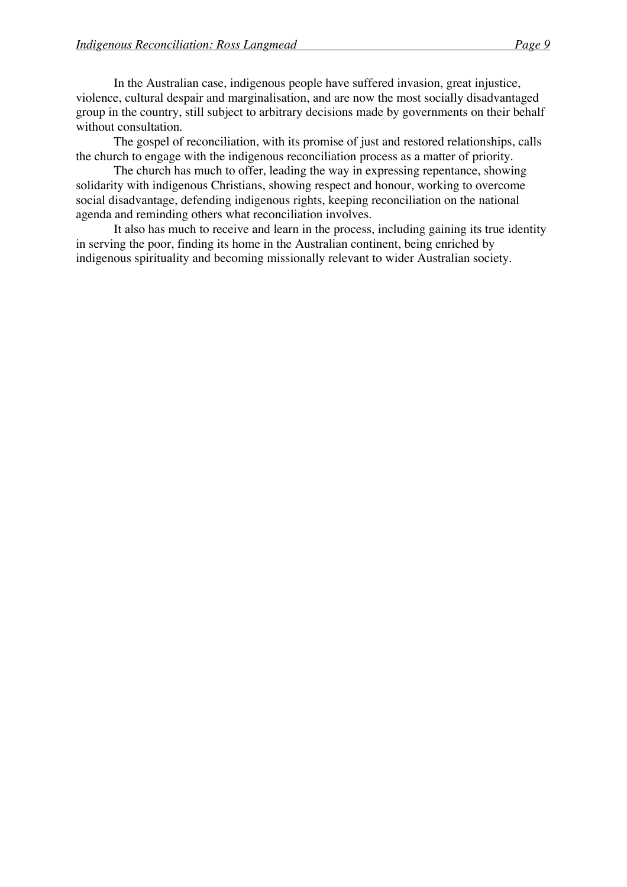In the Australian case, indigenous people have suffered invasion, great injustice, violence, cultural despair and marginalisation, and are now the most socially disadvantaged group in the country, still subject to arbitrary decisions made by governments on their behalf without consultation.

The gospel of reconciliation, with its promise of just and restored relationships, calls the church to engage with the indigenous reconciliation process as a matter of priority.

The church has much to offer, leading the way in expressing repentance, showing solidarity with indigenous Christians, showing respect and honour, working to overcome social disadvantage, defending indigenous rights, keeping reconciliation on the national agenda and reminding others what reconciliation involves.

It also has much to receive and learn in the process, including gaining its true identity in serving the poor, finding its home in the Australian continent, being enriched by indigenous spirituality and becoming missionally relevant to wider Australian society.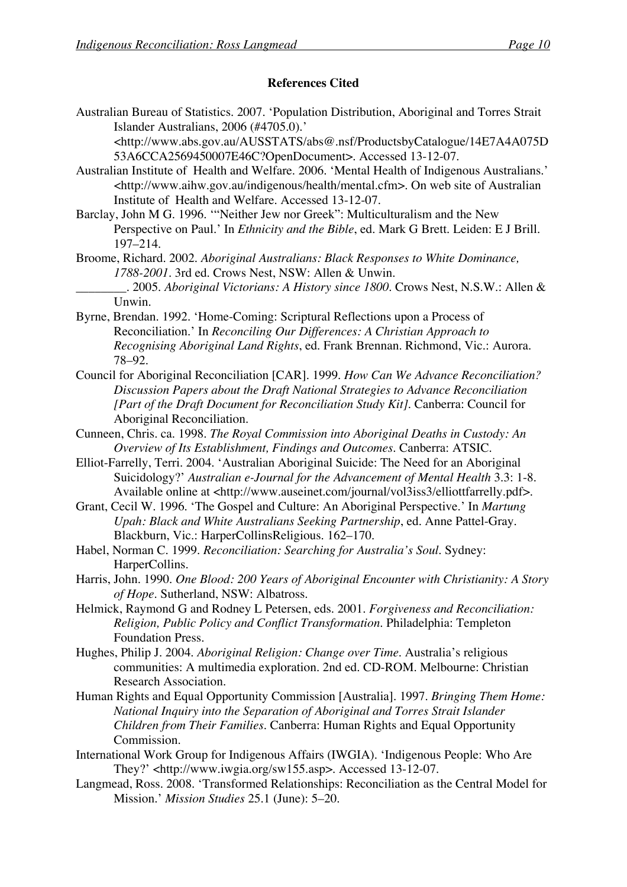# **References Cited**

Australian Bureau of Statistics. 2007. 'Population Distribution, Aboriginal and Torres Strait Islander Australians, 2006 (#4705.0).'

<http://www.abs.gov.au/AUSSTATS/abs@.nsf/ProductsbyCatalogue/14E7A4A075D 53A6CCA2569450007E46C?OpenDocument>. Accessed 13-12-07.

- Australian Institute of Health and Welfare. 2006. 'Mental Health of Indigenous Australians.' <http://www.aihw.gov.au/indigenous/health/mental.cfm>. On web site of Australian Institute of Health and Welfare. Accessed 13-12-07.
- Barclay, John M G. 1996. '"Neither Jew nor Greek": Multiculturalism and the New Perspective on Paul.' In *Ethnicity and the Bible*, ed. Mark G Brett. Leiden: E J Brill. 197–214.
- Broome, Richard. 2002. *Aboriginal Australians: Black Responses to White Dominance, 1788-2001*. 3rd ed. Crows Nest, NSW: Allen & Unwin. \_\_\_\_\_\_\_\_. 2005. *Aboriginal Victorians: A History since 1800*. Crows Nest, N.S.W.: Allen &
	- Unwin.
- Byrne, Brendan. 1992. 'Home-Coming: Scriptural Reflections upon a Process of Reconciliation.' In *Reconciling Our Differences: A Christian Approach to Recognising Aboriginal Land Rights*, ed. Frank Brennan. Richmond, Vic.: Aurora. 78–92.
- Council for Aboriginal Reconciliation [CAR]. 1999. *How Can We Advance Reconciliation? Discussion Papers about the Draft National Strategies to Advance Reconciliation [Part of the Draft Document for Reconciliation Study Kit]*. Canberra: Council for Aboriginal Reconciliation.
- Cunneen, Chris. ca. 1998. *The Royal Commission into Aboriginal Deaths in Custody: An Overview of Its Establishment, Findings and Outcomes*. Canberra: ATSIC.
- Elliot-Farrelly, Terri. 2004. 'Australian Aboriginal Suicide: The Need for an Aboriginal Suicidology?' *Australian e-Journal for the Advancement of Mental Health* 3.3: 1-8. Available online at <http://www.auseinet.com/journal/vol3iss3/elliottfarrelly.pdf>.
- Grant, Cecil W. 1996. 'The Gospel and Culture: An Aboriginal Perspective.' In *Martung Upah: Black and White Australians Seeking Partnership*, ed. Anne Pattel-Gray. Blackburn, Vic.: HarperCollinsReligious. 162–170.
- Habel, Norman C. 1999. *Reconciliation: Searching for Australia's Soul*. Sydney: HarperCollins.
- Harris, John. 1990. *One Blood: 200 Years of Aboriginal Encounter with Christianity: A Story of Hope*. Sutherland, NSW: Albatross.
- Helmick, Raymond G and Rodney L Petersen, eds. 2001. *Forgiveness and Reconciliation: Religion, Public Policy and Conflict Transformation*. Philadelphia: Templeton Foundation Press.
- Hughes, Philip J. 2004. *Aboriginal Religion: Change over Time*. Australia's religious communities: A multimedia exploration. 2nd ed. CD-ROM. Melbourne: Christian Research Association.
- Human Rights and Equal Opportunity Commission [Australia]. 1997. *Bringing Them Home: National Inquiry into the Separation of Aboriginal and Torres Strait Islander Children from Their Families*. Canberra: Human Rights and Equal Opportunity Commission.
- International Work Group for Indigenous Affairs (IWGIA). 'Indigenous People: Who Are They?' <http://www.iwgia.org/sw155.asp>. Accessed 13-12-07.
- Langmead, Ross. 2008. 'Transformed Relationships: Reconciliation as the Central Model for Mission.' *Mission Studies* 25.1 (June): 5–20.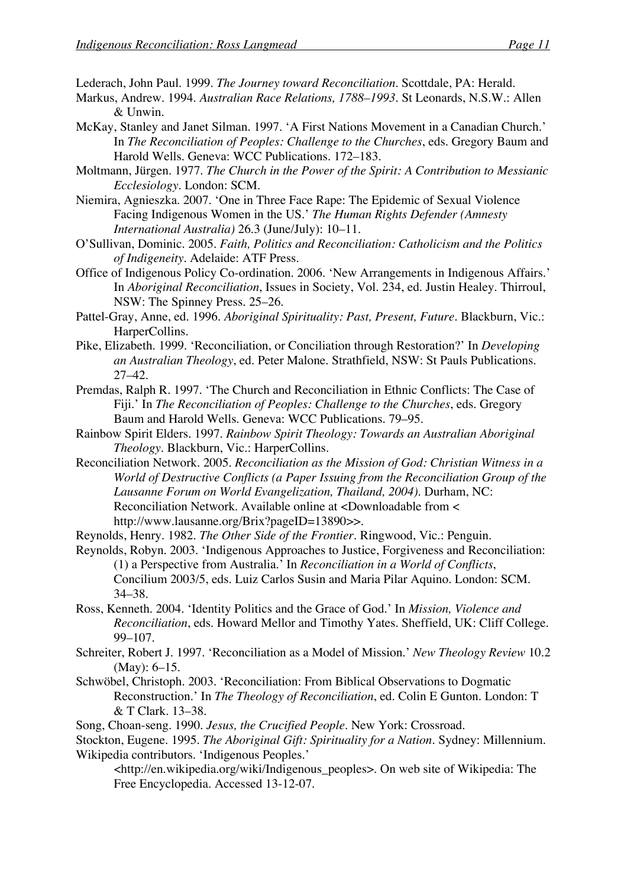Lederach, John Paul. 1999. *The Journey toward Reconciliation*. Scottdale, PA: Herald.

- Markus, Andrew. 1994. *Australian Race Relations, 1788–1993*. St Leonards, N.S.W.: Allen & Unwin.
- McKay, Stanley and Janet Silman. 1997. 'A First Nations Movement in a Canadian Church.' In *The Reconciliation of Peoples: Challenge to the Churches*, eds. Gregory Baum and Harold Wells. Geneva: WCC Publications. 172–183.

Moltmann, Jürgen. 1977. *The Church in the Power of the Spirit: A Contribution to Messianic Ecclesiology*. London: SCM.

Niemira, Agnieszka. 2007. 'One in Three Face Rape: The Epidemic of Sexual Violence Facing Indigenous Women in the US.' *The Human Rights Defender (Amnesty International Australia)* 26.3 (June/July): 10–11.

O'Sullivan, Dominic. 2005. *Faith, Politics and Reconciliation: Catholicism and the Politics of Indigeneity*. Adelaide: ATF Press.

Office of Indigenous Policy Co-ordination. 2006. 'New Arrangements in Indigenous Affairs.' In *Aboriginal Reconciliation*, Issues in Society, Vol. 234, ed. Justin Healey. Thirroul, NSW: The Spinney Press. 25–26.

Pattel-Gray, Anne, ed. 1996. *Aboriginal Spirituality: Past, Present, Future*. Blackburn, Vic.: HarperCollins.

- Pike, Elizabeth. 1999. 'Reconciliation, or Conciliation through Restoration?' In *Developing an Australian Theology*, ed. Peter Malone. Strathfield, NSW: St Pauls Publications. 27–42.
- Premdas, Ralph R. 1997. 'The Church and Reconciliation in Ethnic Conflicts: The Case of Fiji.' In *The Reconciliation of Peoples: Challenge to the Churches*, eds. Gregory Baum and Harold Wells. Geneva: WCC Publications. 79–95.
- Rainbow Spirit Elders. 1997. *Rainbow Spirit Theology: Towards an Australian Aboriginal Theology*. Blackburn, Vic.: HarperCollins.

Reconciliation Network. 2005. *Reconciliation as the Mission of God: Christian Witness in a World of Destructive Conflicts (a Paper Issuing from the Reconciliation Group of the Lausanne Forum on World Evangelization, Thailand, 2004)*. Durham, NC: Reconciliation Network. Available online at <Downloadable from < http://www.lausanne.org/Brix?pageID=13890>>.

Reynolds, Henry. 1982. *The Other Side of the Frontier*. Ringwood, Vic.: Penguin.

Reynolds, Robyn. 2003. 'Indigenous Approaches to Justice, Forgiveness and Reconciliation: (1) a Perspective from Australia.' In *Reconciliation in a World of Conflicts*, Concilium 2003/5, eds. Luiz Carlos Susin and Maria Pilar Aquino. London: SCM. 34–38.

- Ross, Kenneth. 2004. 'Identity Politics and the Grace of God.' In *Mission, Violence and Reconciliation*, eds. Howard Mellor and Timothy Yates. Sheffield, UK: Cliff College. 99–107.
- Schreiter, Robert J. 1997. 'Reconciliation as a Model of Mission.' *New Theology Review* 10.2 (May): 6–15.
- Schwöbel, Christoph. 2003. 'Reconciliation: From Biblical Observations to Dogmatic Reconstruction.' In *The Theology of Reconciliation*, ed. Colin E Gunton. London: T & T Clark. 13–38.

Song, Choan-seng. 1990. *Jesus, the Crucified People*. New York: Crossroad.

Stockton, Eugene. 1995. *The Aboriginal Gift: Spirituality for a Nation*. Sydney: Millennium. Wikipedia contributors. 'Indigenous Peoples.'

<http://en.wikipedia.org/wiki/Indigenous\_peoples>. On web site of Wikipedia: The Free Encyclopedia. Accessed 13-12-07.